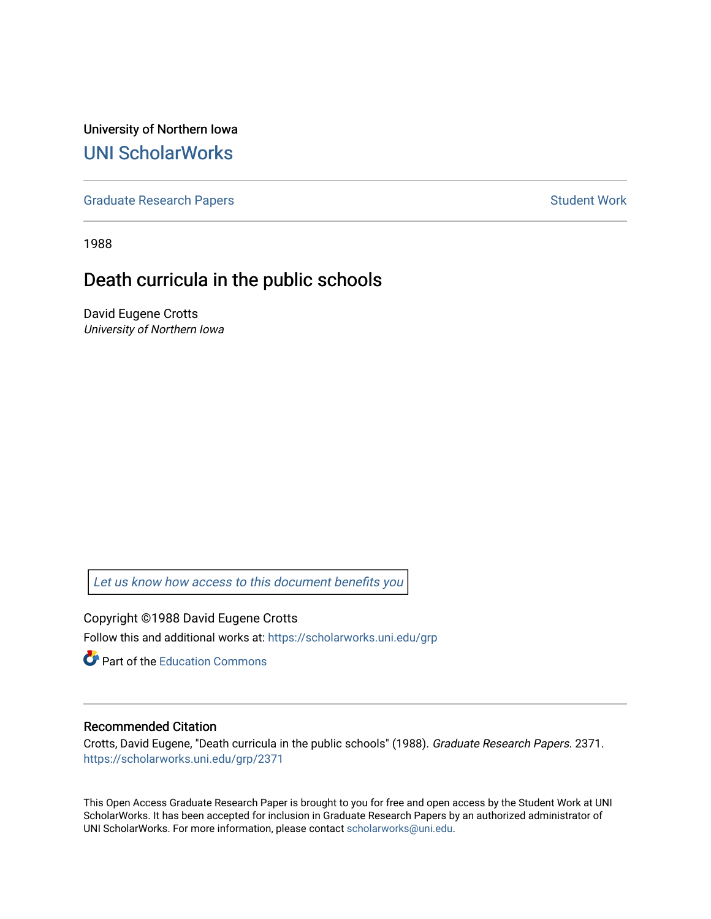University of Northern Iowa [UNI ScholarWorks](https://scholarworks.uni.edu/) 

[Graduate Research Papers](https://scholarworks.uni.edu/grp) **Student Work** Student Work

1988

# Death curricula in the public schools

David Eugene Crotts University of Northern Iowa

[Let us know how access to this document benefits you](https://scholarworks.uni.edu/feedback_form.html) 

Copyright ©1988 David Eugene Crotts Follow this and additional works at: [https://scholarworks.uni.edu/grp](https://scholarworks.uni.edu/grp?utm_source=scholarworks.uni.edu%2Fgrp%2F2371&utm_medium=PDF&utm_campaign=PDFCoverPages) 

**C** Part of the [Education Commons](http://network.bepress.com/hgg/discipline/784?utm_source=scholarworks.uni.edu%2Fgrp%2F2371&utm_medium=PDF&utm_campaign=PDFCoverPages)

## Recommended Citation

Crotts, David Eugene, "Death curricula in the public schools" (1988). Graduate Research Papers. 2371. [https://scholarworks.uni.edu/grp/2371](https://scholarworks.uni.edu/grp/2371?utm_source=scholarworks.uni.edu%2Fgrp%2F2371&utm_medium=PDF&utm_campaign=PDFCoverPages) 

This Open Access Graduate Research Paper is brought to you for free and open access by the Student Work at UNI ScholarWorks. It has been accepted for inclusion in Graduate Research Papers by an authorized administrator of UNI ScholarWorks. For more information, please contact [scholarworks@uni.edu.](mailto:scholarworks@uni.edu)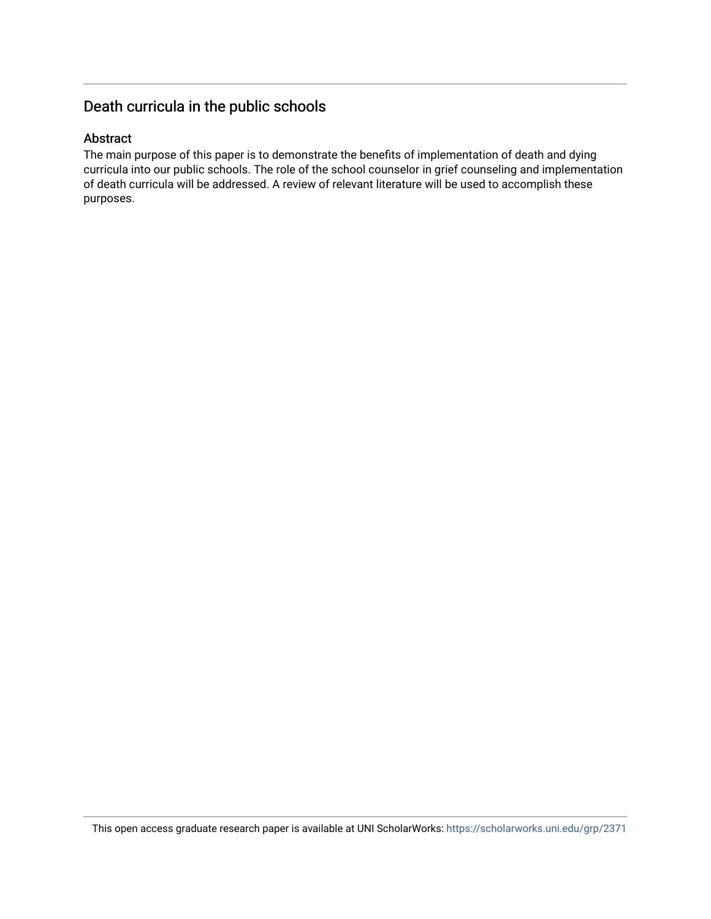# Death curricula in the public schools

## Abstract

The main purpose of this paper is to demonstrate the benefits of implementation of death and dying curricula into our public schools. The role of the school counselor in grief counseling and implementation of death curricula will be addressed. A review of relevant literature will be used to accomplish these purposes.

This open access graduate research paper is available at UNI ScholarWorks: <https://scholarworks.uni.edu/grp/2371>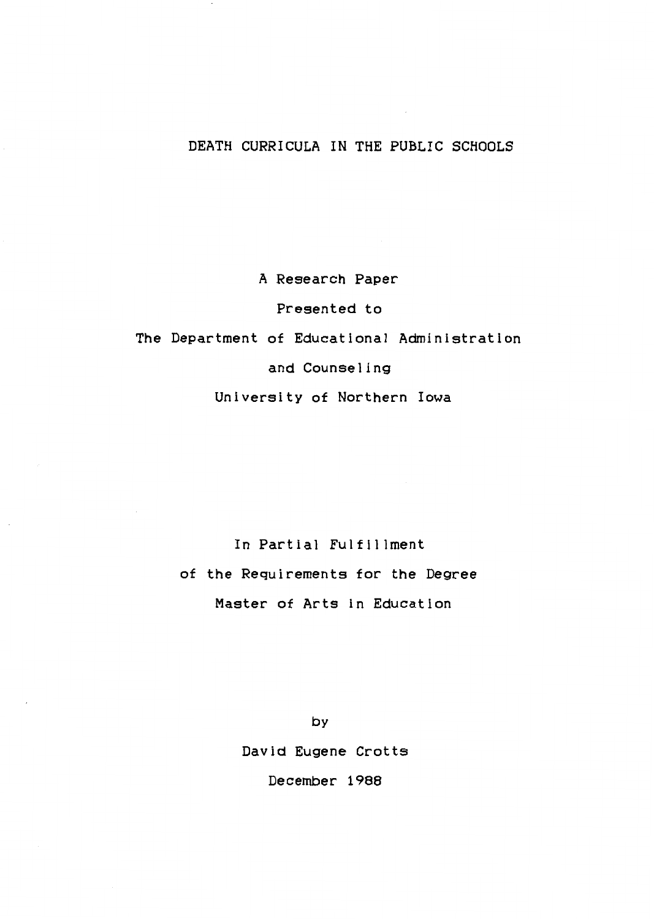## DEATH CURRICULA IN THE PUBLIC SCHOOLS

A Research Paper Presented to The Department of Educational Administration and Counseling University of Northern Iowa

> In Partial Fulfillment of the Requirements for the Degree Master of Arts in Education

> > by David Eugene Crotts December 1988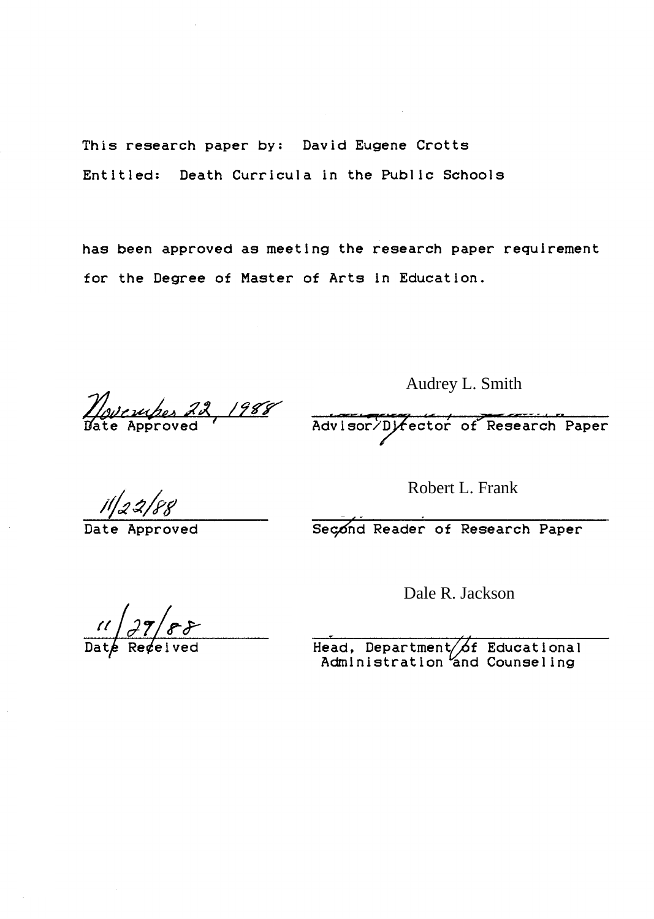This research paper by: David Eugene Crotts Entitled: Death Curricula in the Public Schools

has been approved as meeting the research paper requirement for the Degree of Master of Arts in Education.

*<u>Movember 22, 1988</u>* 

Audrey L. Smith<br>Advisor/Director of Research Paper

Robert L. Frank

 $\frac{1}{2}$   $\frac{2}{8}$ <br>Nate Approved Second Reader of Research Paper

Dale R. Jackson

 $\frac{11}{\text{Date} \text{Regeived}}$ 

Head, Department $\bigtriangleup f$ Administration and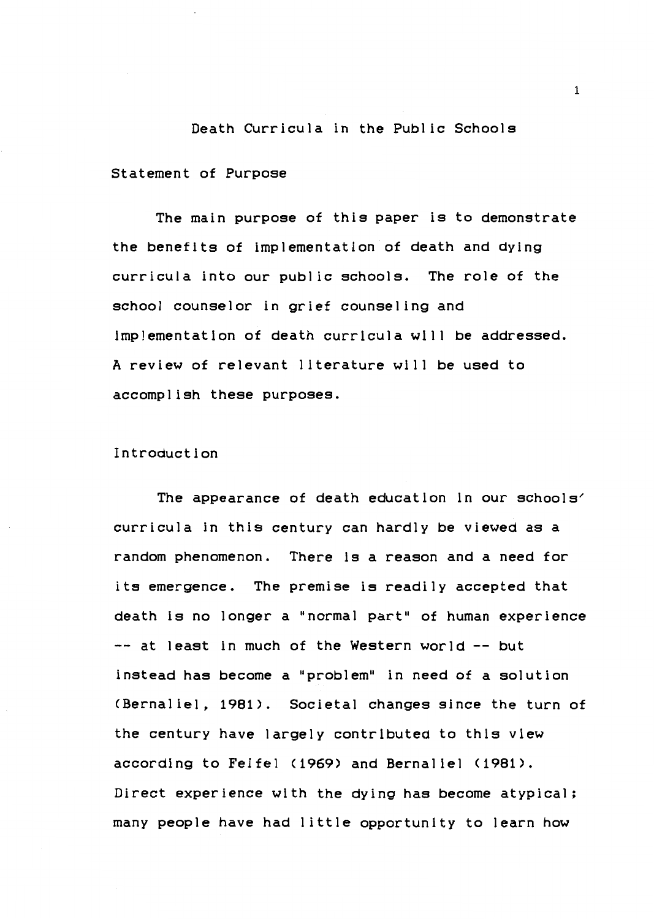# Death Curricula in the Public Schools Statement of Purpose

The main purpose of this paper is to demonstrate the benefits of implementation of death and dying curricula into our public schools. The role of the school counselor in grief counseling and implementation of death curricula will be addressed. A review of relevant literature will be used to accomplish these purposes.

### Introduction

The appearance of death education in our schools' curricula in this century can hardly be viewed as a random phenomenon. There is a reason and a need for its emergence. The premise is readily accepted that death is no longer a "normal part" of human experience -- at least in much of the Western world -- but instead has become a "problem" in need of a solution <Bernaliel, 1981>. Societal changes since the turn of the century have largely contributed to this view according to Feifel (1969> and Bernaliel <1981). Direct experience with the dying has become atypical; many people have had little opportunity to learn how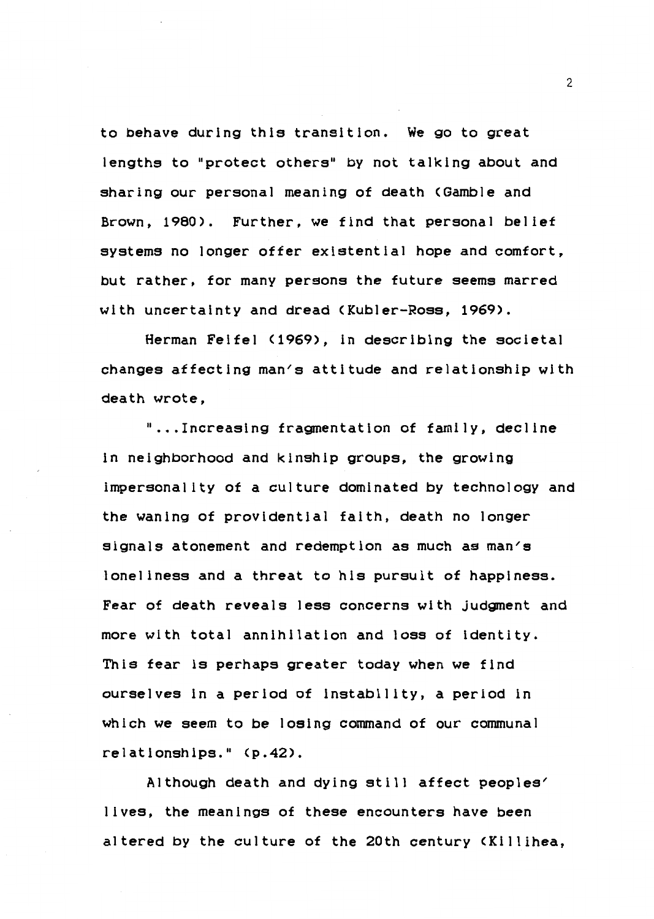to behave during this transition. We go to great lengths to "protect others" by not talking about and sharing our personal meaning of death <Gamble and Brown, 1980). Further, we find that personal **belief**  systems no longer offer existential hope and comfort, but rather, for many persons the future seems marred with uncertainty and dread (Kubler-Ross, 1969).

Herman Felfel (1969), in describing the societal changes affecting man's attitude and relationship with death wrote,

" ... Increasing fragmentation of family, decline in neighborhood and kinship groups, the growing impersonality of a culture dominated by technology and the waning of providential faith, death no longer signals atonement and redemption as much as man's loneliness and a threat to his pursuit of happiness. Fear of death reveals less concerns with judgment and more with total annihilation and loss of identity. This fear ls perhaps greater today when we find ourselves in a period of instability, a period in which we seem to be losing command of our communal relationships." (p.42).

Although death and dying still affect peoples' lives, the meanings of these encounters have been altered by the culture of the 20th century <Killihea,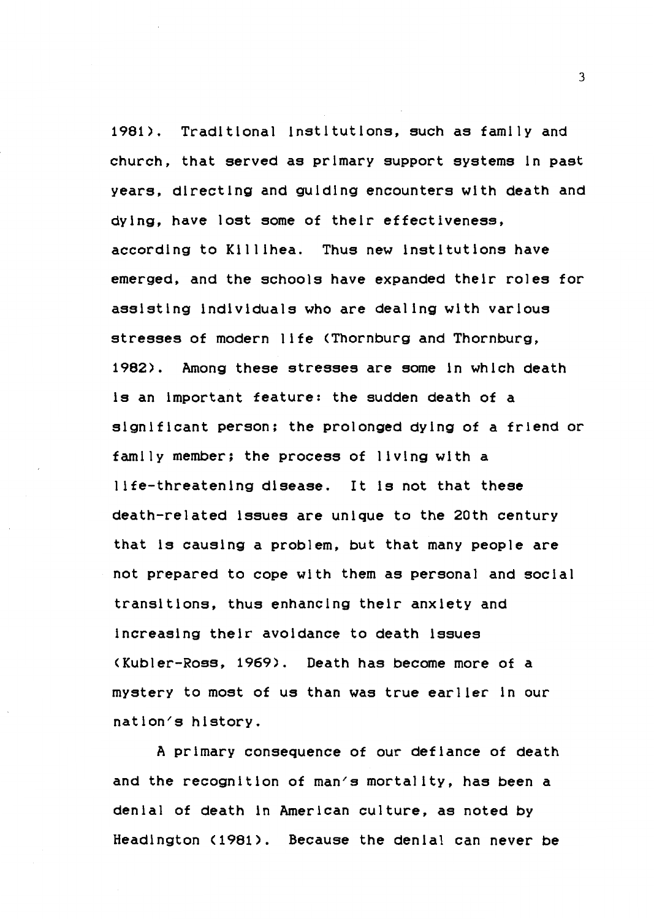1981). Traditional institutions, such as family and church, that served as primary support systems in past years, directing and guiding encounters with death and dying, have lost some of their effectiveness, according to Killihea. Thus new institutions have emerged, and the schools have expanded their roles for assisting individuals who are dealing with various stresses of modern life <Thornburg and Thornburg, 1982). Among these stresses are some in which death is an important feature: the sudden death of a significant person; the prolonged dying of a friend or family member; the process of living with a life-threatening disease. It ls not that these death-related issues are unique to the 20th century that ls causing a problem, but that many people are not prepared to cope with them as personal and social transitions, thus enhancing their anxiety and increasing their avoidance to death issues <Kubler-Ross, 1969). Death has become more of a mystery to most of us than was true earlier in our nation/s history.

A primary consequence of our defiance of death and the recognition of man/s mortality, has been a denial of death in American culture, as noted by Headington (1981). Because the denial can never be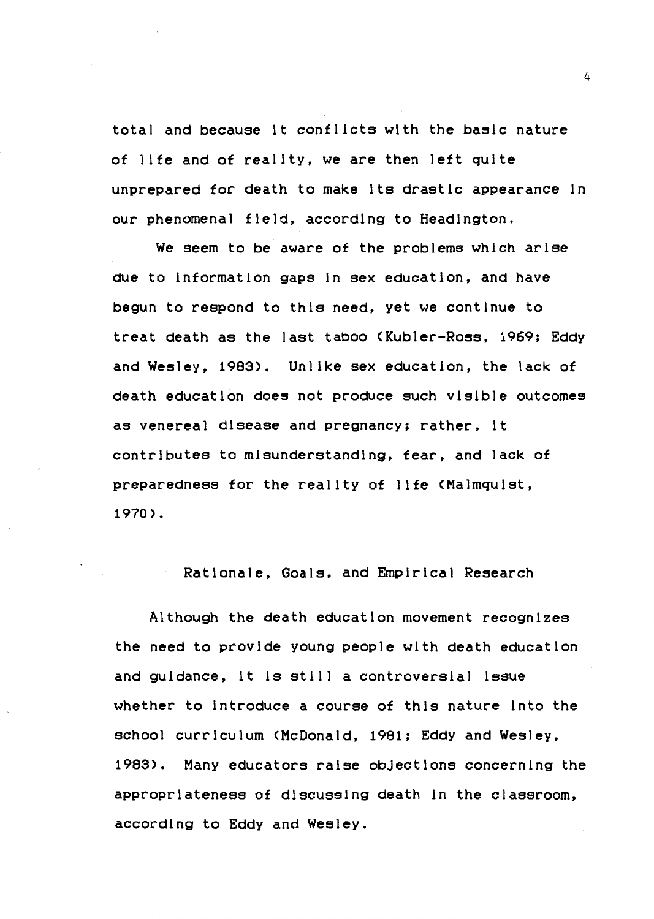total and because it conflicts with the basic nature of life and of reality, we are then left quite unprepared for death to make its drastic appearance in our phenomenal field, according to Headington.

We seem to be aware of the problems which arise due to information gaps in sex education, and have begun to respond to this **need,** yet we continue to treat death as the last taboo (Kubler-Ross, 1969; Eddy and Wesley, 1983). Unlike sex education, the lack of death education does not produce such visible outcomes as venereal disease and pregnancy; rather, it contributes to misunderstanding, fear, and lack of preparedness for the reality of life <Malmquist, 1970).

Rationale, Goals, and Empirical Research

Although the death education movement recognizes the need to provide young people with death education and guidance, it ls still a controversial issue whether to introduce a course of this nature into the school curriculum <McDonald, 1981; Eddy and Wesley, 1983). Many educators raise obJectlons concerning the appropriateness of discussing death in the classroom, according to Eddy and Wesley.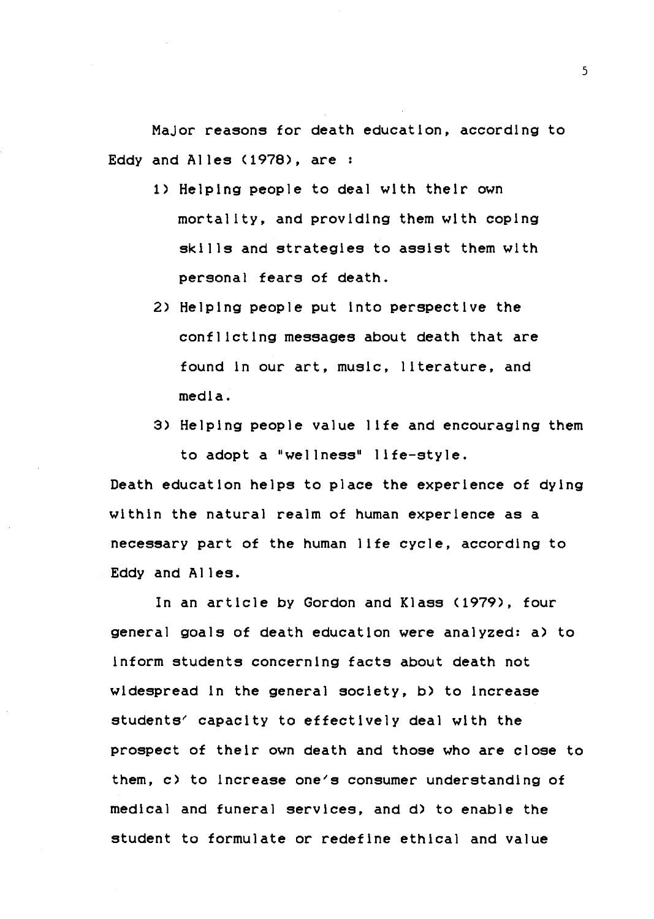MaJor reasons for death education, according to Eddy and Alles (1978), are :

- 1) Helping people to deal with their own mortality, and providing them with coping skills and strategies to assist them with personal fears of death.
- 2) Helping people put into perspective the conflicting messages about death that are found in our art, music, literature, and media.
- 3) Helping people value life and encouraging them to adopt a "wellness" life-style.

Death education helps to place the experience of dying within the natural realm of human experience as a necessary part of the human life cycle, according to Eddy and Alles.

In an article by Gordon and Klass (1979), four general goals of death education were analyzed: a) to inform students concerning facts about death not widespread in the general society, b) to increase students' capacity to effectively deal with the prospect of their own death and those who are close to them,  $c$ ) to increase one's consumer understanding of medical and funeral services, and d) to enable the student to formulate or redefine ethical and value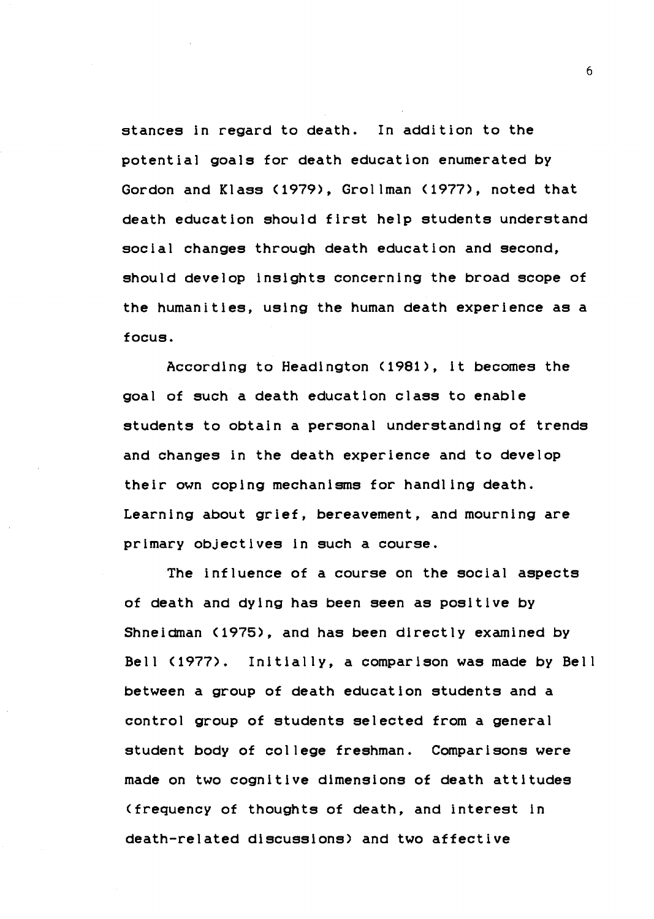stances in regard to death. In addition to the potential goals for death education enumerated by Gordon and Klass (1979), Grollman (1977), noted that death education should first help students understand social changes through death education and second, should develop Insights concerning the broad scope of the humanities, using the human death experience as a focus.

According to Headington (1981), it becomes the goal of such a death education class to enable students to obtain a personal understanding of trends and changes in the death experience and to develop their own coping mechanisms for handling death. Learning about grief, bereavement, and mourning are primary objectives in such a course.

The influence of a course on the social aspects of death and dying has been **seen** as positive by Shneidman (1975), and has been directly examined by Bell (1977). Initially, a comparison was made by Bell between a group of death education students and a control group of students selected from a general student body of college freshman. Comparisons were made on two cognitive dimensions of death attitudes (frequency of thoughts of death, and interest in death-related discussions) and two affective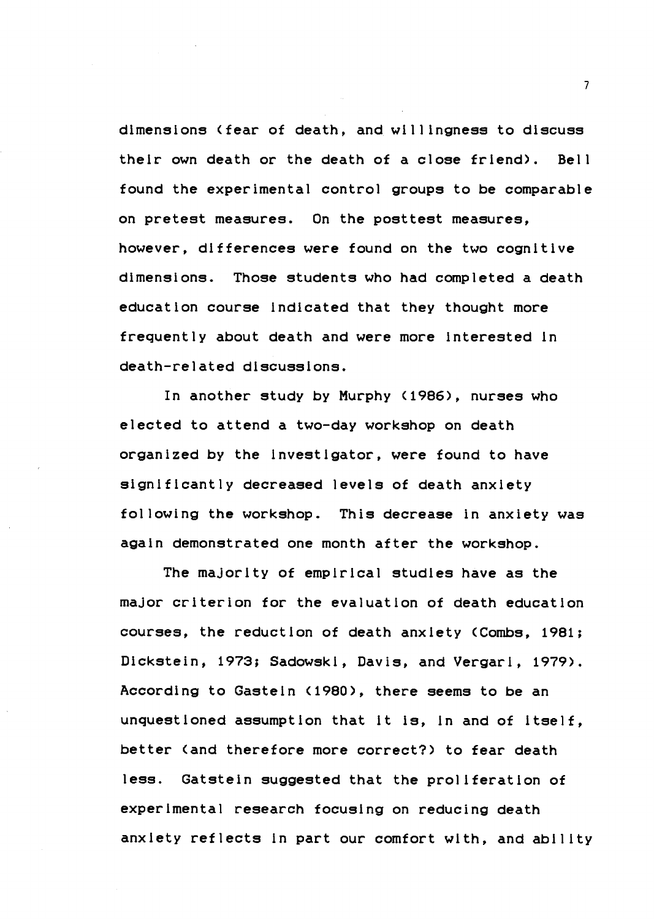dimensions (fear of death, and willingness to discuss their own death or the death of a close friend). Bell found the experimental control groups to be comparable on pretest measures. On the posttest measures, however, differences were found on the two cognitive dimensions. Those students who had completed a death education course indicated that they thought more frequently about death and were more interested in death-related discussions.

In another study by Murphy (1986), nurses who elected to attend a two-day workshop on death organized by the investigator, were found to have significantly decreased levels of death anxiety following the workshop. This decrease in anxiety was again demonstrated one month after the workshop.

The majority of empirical studies have as the maJor criterion for the evaluation of death education courses, the reduction of death anxiety <Combs, 1981; Dickstein, 1973; Sadowski, Davis, and Vergari, 1979). According to Gasteln (1980), there seems to be an unquestioned assumption that it is, in and of itself, better (and therefore more correct?) to fear death less. Gatstein suggested that the proliferation of experimental research focusing on reducing death anxiety reflects in part our comfort with, and ability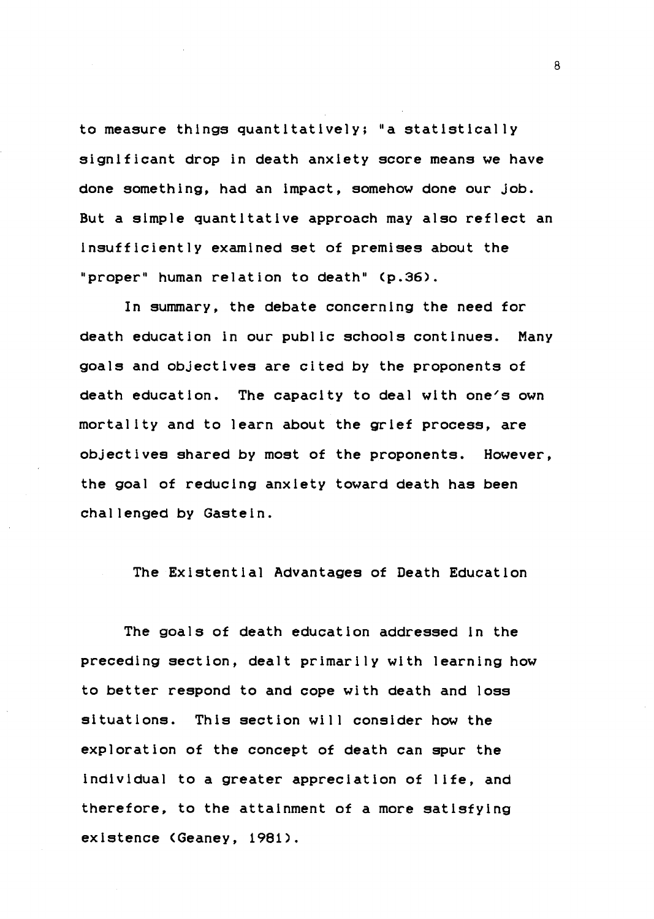to measure things quantitatively; "a statistically significant drop in death anxiety score means we have done something, had an impact, somehow done our Job. But a simple quantitative approach may also reflect an insufficiently examined set of premises about the "proper" human relation to death" (p.36).

In summary, the debate concerning the need for death education in our public schools continues. Many goals and objectives are cited by the proponents of death education. The capacity to deal with one's own mortality and to learn about the grief process, are objectives shared by most of the proponents. However, the goal of reducing anxiety toward death has been challenged by Gastein.

The Existential Advantages of Death Education

The goals of death education addressed in the preceding section, dealt primarily with learning how to better respond to and cope with death and loss situations. This section will consider how the exploration of the concept of death can spur the individual to a greater appreciation of life, and therefore, to the attainment of a more satisfying existence CGeaney, 1981).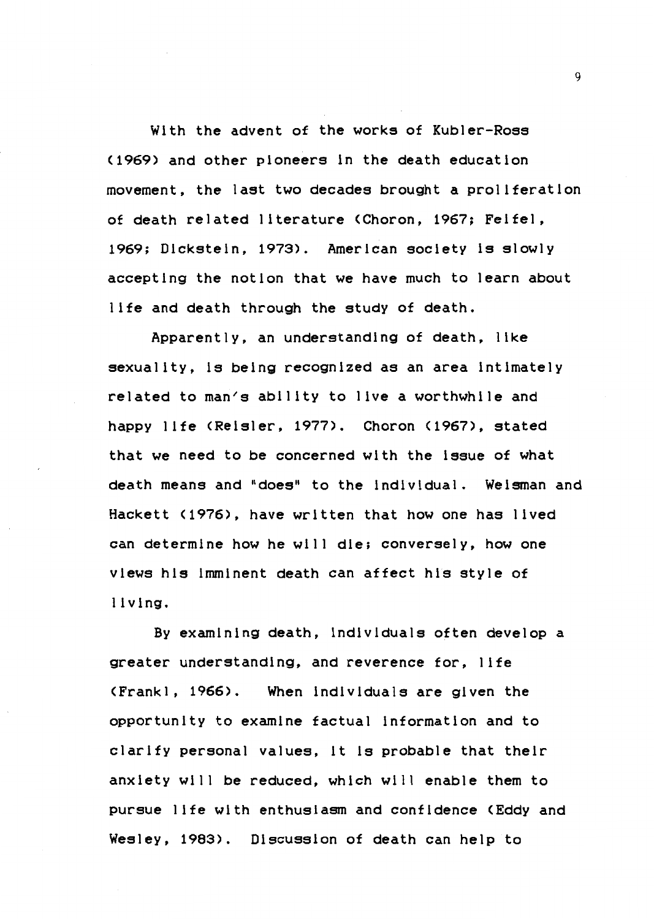With the advent of the works of Kubler-Ross (1969) and other pioneers ln the death education movement, the last two decades brought a prollferatlon of death related literature CChoron, 1967; Feifel, 1969; Dickstein, 1973). American society ls slowly accepting the notion that we have much to learn about life and death through the study of death.

Apparently, an understanding of death, like sexuality, ls being recognized as an area intimately related to man's ability to live a worthwhile and happy life CReisler, 1977). Choron (1967), stated that we need to be concerned wlth the issue of what death means and "does" to the individual. Weisman and Hackett (1976), have written that how one has lived can determine how he will die; conversely, how one views his imminent death can affect his style of l iving.

By examining death, individuals often develop a greater understanding, and reverence for, life <Frankl, 1966). When individuals are given the opportunity to examine factual information and to clarify personal values, it ls probable that their anxiety will be reduced, which will enable them to pursue life with enthusiasm and confidence (Eddy and Wesley, 1983). Discussion of death can help to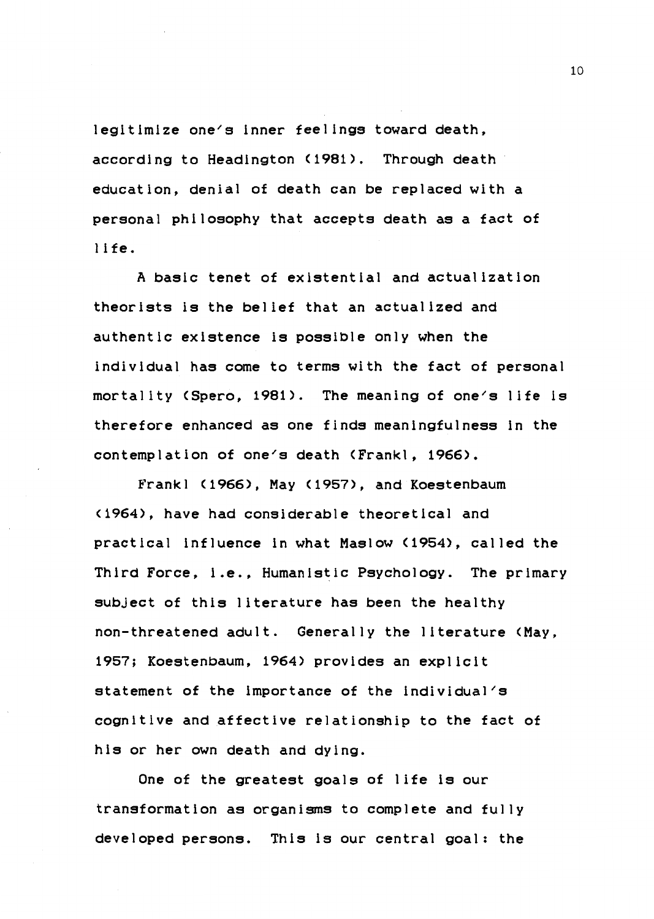legitimize one's inner feelings toward death, according to Headington <1981). Through death education, denial of death can be replaced with a personal philosophy that accepts death as a fact of l i fe.

A basic tenet of existential and actualization theorists ls the belief that an actualized and authentic existence is possible only when the individual has come to terms with the fact of personal mortality (Spero, 1981). The meaning of one's life is therefore enhanced as one finds meaningfulness in the contemplation of one's death (Frankl, 1966).

Frankl (1966), May (1957), and Koestenbaum (1964), have had considerable theoretical and practical influence in what Maslow (1954), called the Third Force, i.e., Humanistic Psychology. The primary subject of this literature has been the healthy non-threatened adult. Generally the literature <May, 1957; Koestenbaum, 1964) provides an explicit statement of the importance of the individual's cognitive and affective relationship to the fact of his or her own death and dying.

One of the greatest goals of life is our transformation as organisms to complete and fully developed persons. This ls our central goal: the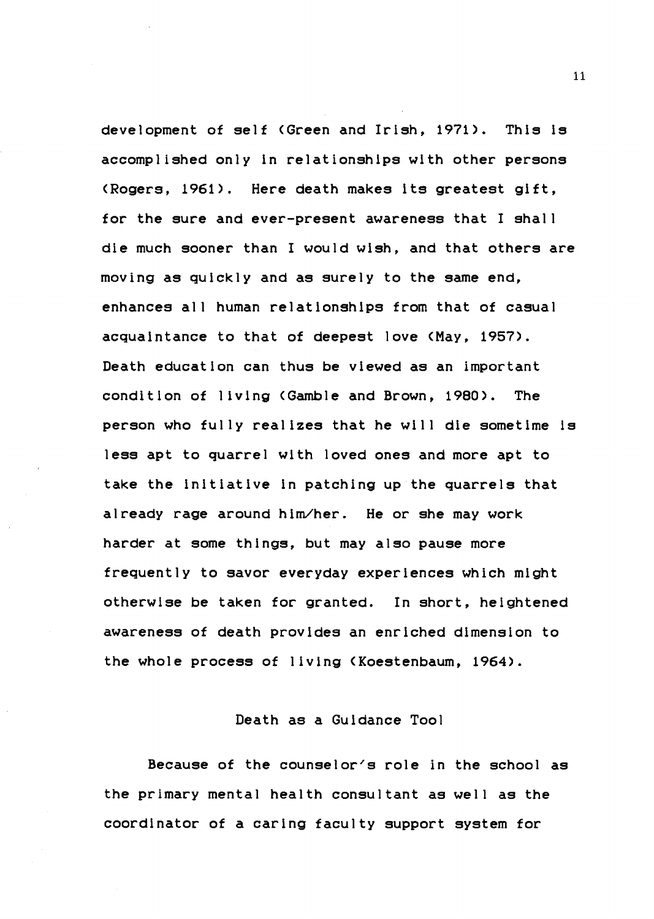development of self <Green and Irish, 1971). This ls accomplished only in relationships with other persons (Rogers, 1961). Here death makes its greatest gift, for the sure and ever-present awareness that I shall die much sooner than I would wish, and that others are moving as quickly and as surely to the same end, enhances all human relationships from that of casual acquaintance to that of deepest love <May, 1957). Death education can thus be viewed as an important condition of living (Gamble and Brown, 1980>. The person who fully realizes that he will die sometime ls less apt to quarrel with loved ones and more apt to take the initiative in patching up the quarrels that already rage around him/her. He or she may work harder at some things, but may also pause more frequently to savor everyday experiences which might otherwise be taken for granted. In short, heightened awareness of death provides an enriched dimension to the whole process of living <Koestenbaum, 1964).

### Death as a Guidance Tool

Because of the counselor's role in the school as the primary mental health consultant as well as the coordinator of a caring faculty support system for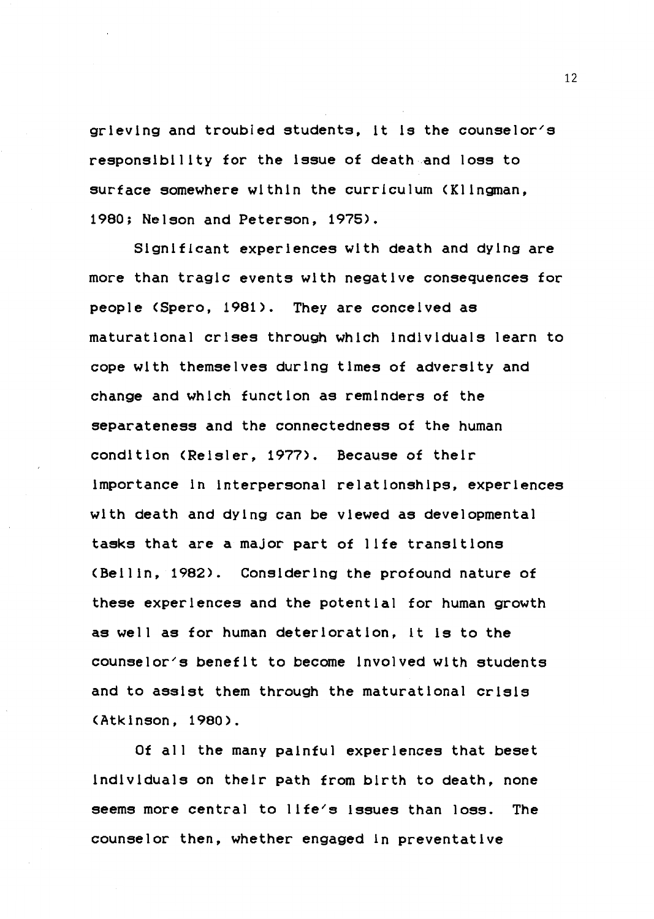grieving and troubled students, it is the counselor/s responsibility for the issue of death and loss to surface somewhere within the curriculum (Klingman, 1980; Nelson and Peterson, 1975>.

Significant experiences with death and dying are more than tragic events with negative consequences for people (Spero, 1981). They are conceived as maturational crises through which individuals learn to cope with themselves during times of adversity and change and which function as reminders of the separateness and the connectedness of the human condition (Reisler, 1977). Because of their importance in interpersonal relationships, experiences with death and dying can be viewed as developmental tasks that are a major part of life transitions <Bellin, 1982). Considering the profound nature of these experiences and the potential for human growth as well as for human deterioration, it ls to the counselor's benefit to become involved with students and to assist them through the maturational crisis <Atkinson, 1980>.

Of all the many painful experiences that beset individuals on their path from birth to death, none seems more central to llfe/s Issues than loss. The counselor then, whether engaged in preventative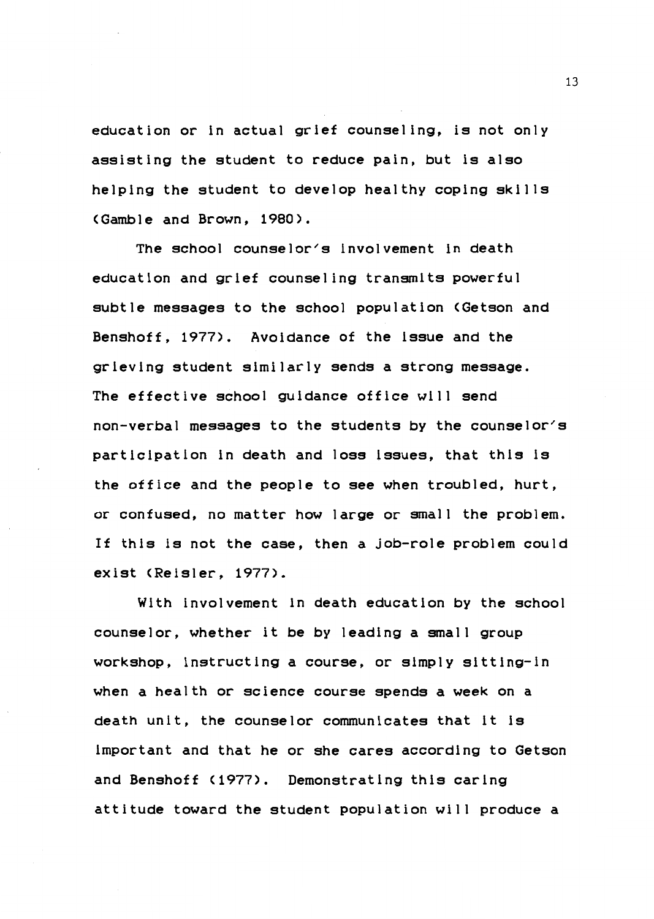education or in actual grief counseling, is not only assisting the student to reduce pain, but is also helping the student to develop healthy coping skills (Gamble and Brown, 1980>.

The school counselor's involvement in death education and grief counseling transmits powerful subtle **messages** to the school population (Getson and Benshoff, 1977). Avoidance of the issue and the grieving student similarly sends a strong message. The effective school guidance office will send non-verbal messages to the students by the counselor's participation in death and loss issues, that this ls the office and the people to see when troubled, hurt, or confused, no matter how large or small the problem. If this ls not the case, then a job-role problem could exist CReisler, 1977).

With involvement in death education by the school counselor, whether it be by leading a small group workshop, instructing a course, or simply sitting-in when a health or science course spends a week on a death unit, the counselor communicates that it ls important and that he or she cares according to Getson and Benshoff (1977). Demonstrating this caring attitude toward the student population will produce a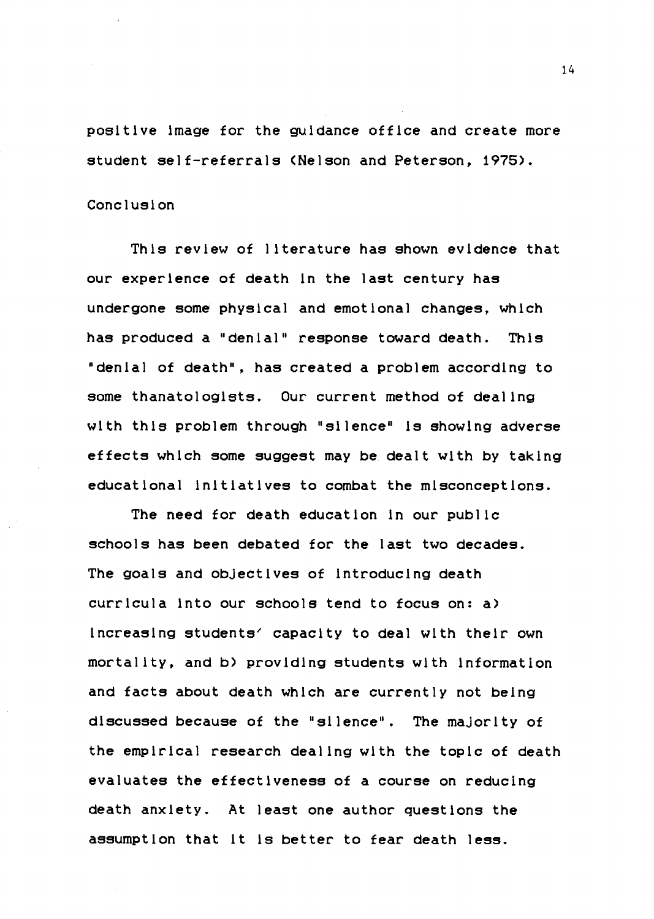positive image for the guidance office and create more student self-referrals (Nelson and Peterson, 1975).

#### Conclusion

This review of literature has shown evidence that our experience of death in the last century has undergone some physical and emotional changes, which has produced a "denial" response toward death. This "denial of death", has created a problem according to some thanatologists. Our current method of dealing with this problem through "silence" is showing adverse effects which some suggest may be dealt with by taking educational initiatives to combat the misconceptions.

The need for death education in our public schools has been debated for the last two decades. The goals and objectives of introducing death curricula into our schools tend to focus on: a) increasing students' capacity to deal with their own mortality, and b) providing students with information and facts about death which are currently not being discussed because of the "silence". The majority of the empirical research dealing with the topic of death evaluates the effectiveness of a course on reducing death anxiety. At least one author questions the assumption that it ls better to fear death less.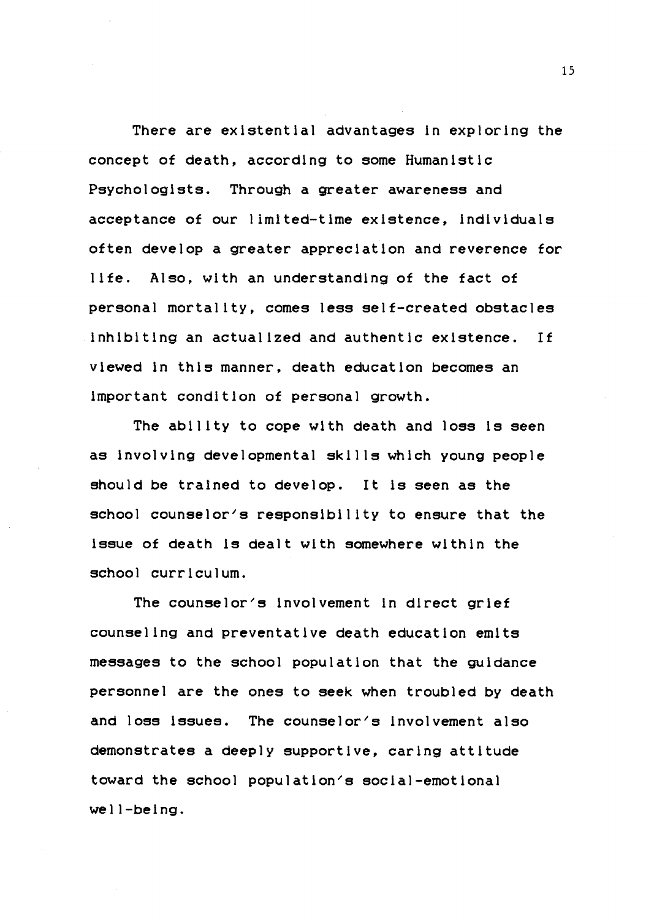There are existential advantages ln exploring the concept of death, according to some Humanistic Psychologists. Through a greater awareness and acceptance of our limited-time existence, individuals often develop a greater appreciation and reverence for life. Also, with an understanding of the fact of personal mortality, comes less self-created obstacles inhibiting an actualized and authentic existence. If viewed in this manner, death education becomes an important condition of personal growth.

The ability to cope with death and loss ls seen as involving developmental skills which young people should be trained to develop. It ls **seen** as the school counselor's responsibility to ensure that the issue of death ls dealt with somewhere within the school curriculum.

The counselor's involvement in direct grief counseling and preventative death education emits messages to the school population that the guidance personnel are the ones to seek when troubled by death and loss issues. The counselor's involvement also demonstrates a deeply supportive, caring attitude toward the school population's social-emotional well-being.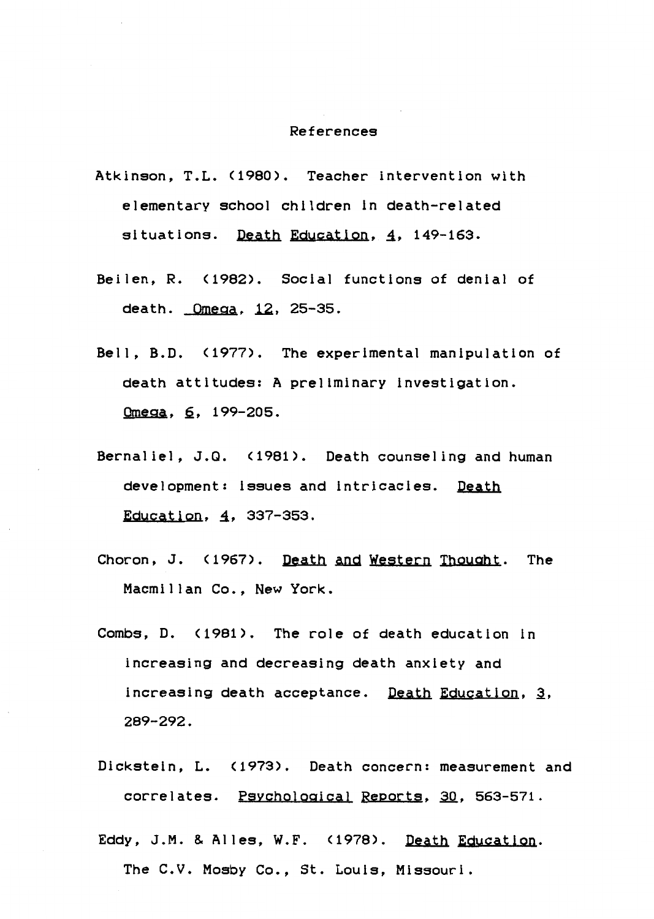### References

- Atkinson, T.L. (1980). Teacher intervention with elementary school children in death-related situations. Death Education, 4, 149-163.
- Beilen, R. (1982). Social functions of denial of death. Omega, 12, 25-35.
- Bell, B.D. (1977). The experimental manipulation of death attitudes: A preliminary investigation. Omega, 6, 199-205.
- Bernaliel, J.Q. (1981). Death counseling and human development: issues and intricacies. **Death**  Education, 4, 337-353.
- Choron, J. (1967). Death and Western Thought. The Macmillan Co., New York.
- Combs, D. (1981). The role of death education in increasing and decreasing death anxiety and increasing death acceptance. Death Education, 3, 289-292.
- Dickstein, L. (1973). Death concern: measurement and correlates. Psychological Reports, 30, 563-571.
- Eddy, J.M. & Alles, **W.F.** (1978). **Death Education.**  The C.V. Mosby Co., St. Louis, Missouri.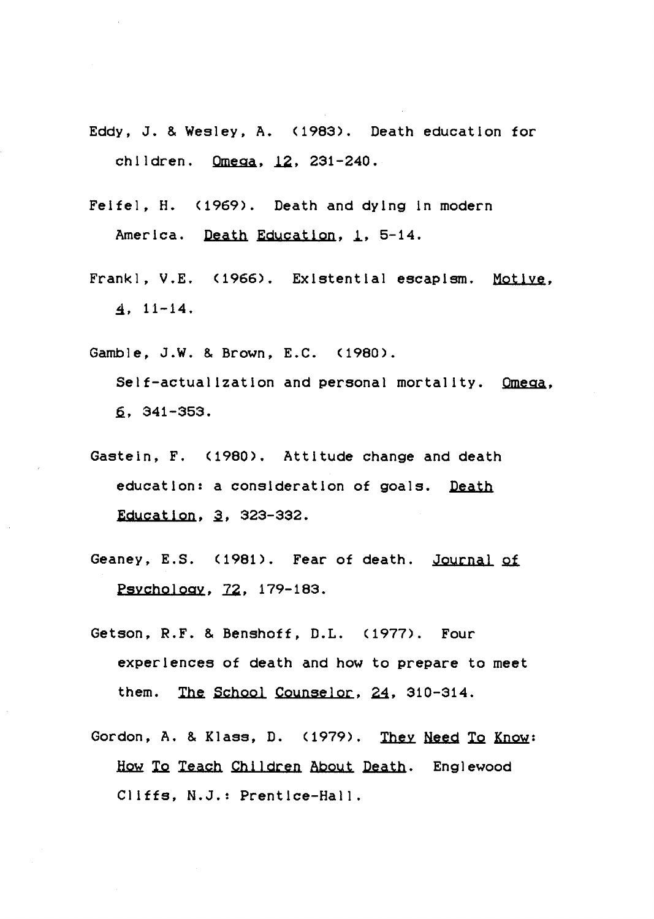- Eddy, J. & Wesley, A. (1983). Death education for children. **Omega**, 12, 231-240.
- Felfel, H. (1969). Death and dying in modern America. **Death Education,** *i,* 5-14.
- Frankl, V.E. (1966). Existential escapism. Motive,  $4.11-14.$
- Gamble, J.W. & Brown, E.C. (1980). Self-actualization and personal mortality. **Omega,**   $6.341 - 353.$
- Gastein, F. (1980). Attitude change and death education: a consideration of goals. **Death**  Education, 3, 323-332.
- Geaney, E.S. (1981). Fear of death. Journal of Psychology, 72, 179-183.
- Getson, R.F. & Benshoff, D.L. (1977). Four experiences of death and how to prepare to meet them. The School Counselor, 24, 310-314.
- Gordon, A. & Klass, D.  $(1979)$ . They Need To Know: How To Teach Children About Death. Englewood Cliffs, N.J.: Prentice-Hall.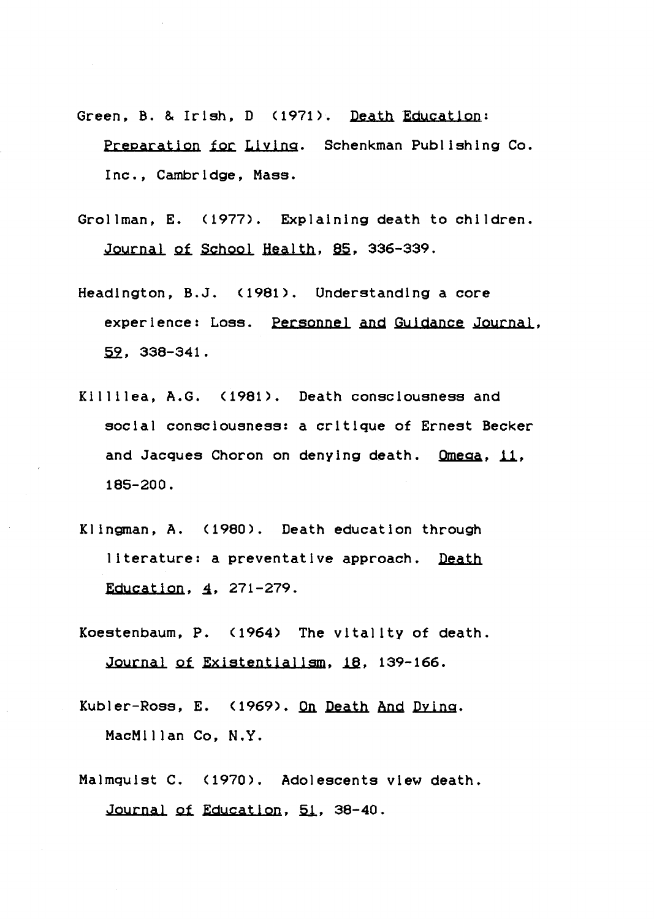- Green, B. & Irish, D <1971). Death Education: Preparation for Living. Schenkman Publishing Co. Inc., Cambridge, Mass.
- Grollman, E. (1977). Explaining death to children. Journal of School Health, 85, 336-339.
- Headington, B.J. (1981). Understanding a core experience: Loss. Personnel and Guidance Journal,  $59.338 - 341.$
- Killilea, A.G. (1981). Death consciousness and social consciousness: a critique of Ernest Becker and Jacques Choron on denying death. **Omega.** 11, 185-200.
- Klingman, A. (1980). Death education through literature: a preventative approach. **Death**  Education,  $4, 271-279$ .
- Koestenbaum, P. (1964) The vitality of death. Journal of Existentialism, 18, 139-166.
- Kubler-Ross, E. (1969). On Death And Dying. MacMillan Co, **N.Y.**
- Malmquist C. (1970). Adolescents view death. Journal of Education, 51, 38-40.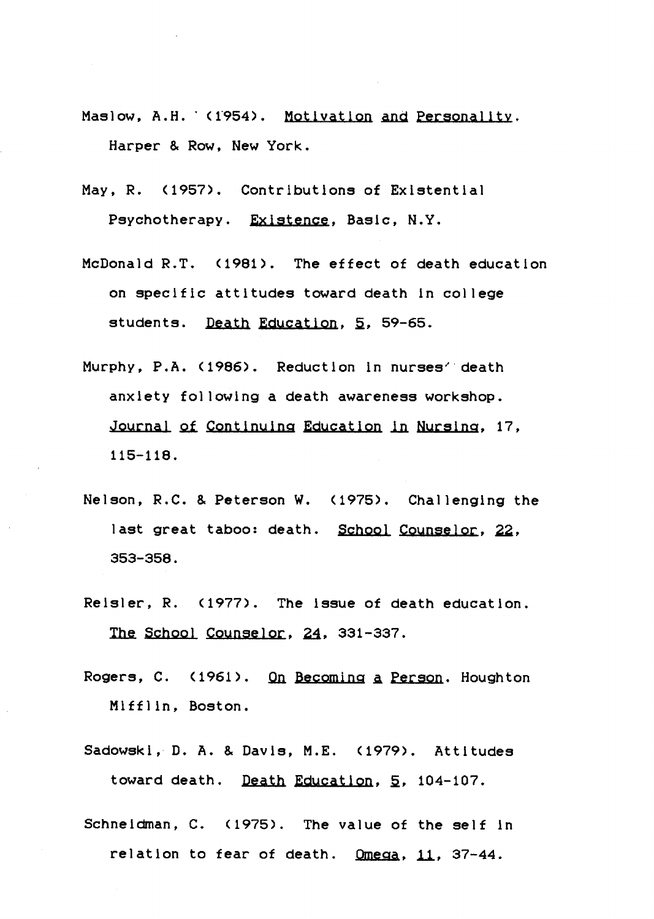- Maslow, A.H. (1954). Motivation and Personality. Harper & Row, New York.
- May, R. (1957). Contributions of Existential Psychotherapy. **Existence,** Basic, N.Y.
- McDonald R.T. <1981). The effect of death education on specific attitudes toward death in college students. Death Education, 5, 59-65.
- Murphy, P.A. (1986). Reduction in nurses<sup>7</sup> death anxiety following a death awareness workshop. Journal of Continuing Education in Nursing, 17, 115-118.
- Nelson, R.C. & Peterson W. <1975). Challenging the last great taboo: death. School Counselor, 22, 353-358.
- Reisler, R. (1977). The issue of death education. The School Counselor, 24, 331-337.
- Rogers, c. <1961). Qn Becoming a Person. Houghton Mifflin, Boston.
- Sadowski, D. A. & Davis, M.E. (1979). Attitudes toward death. Death Education,§, 104-107.
- Schneidman, C. <1975). The value of the self in relation to fear of death. Omega, 11, 37-44.